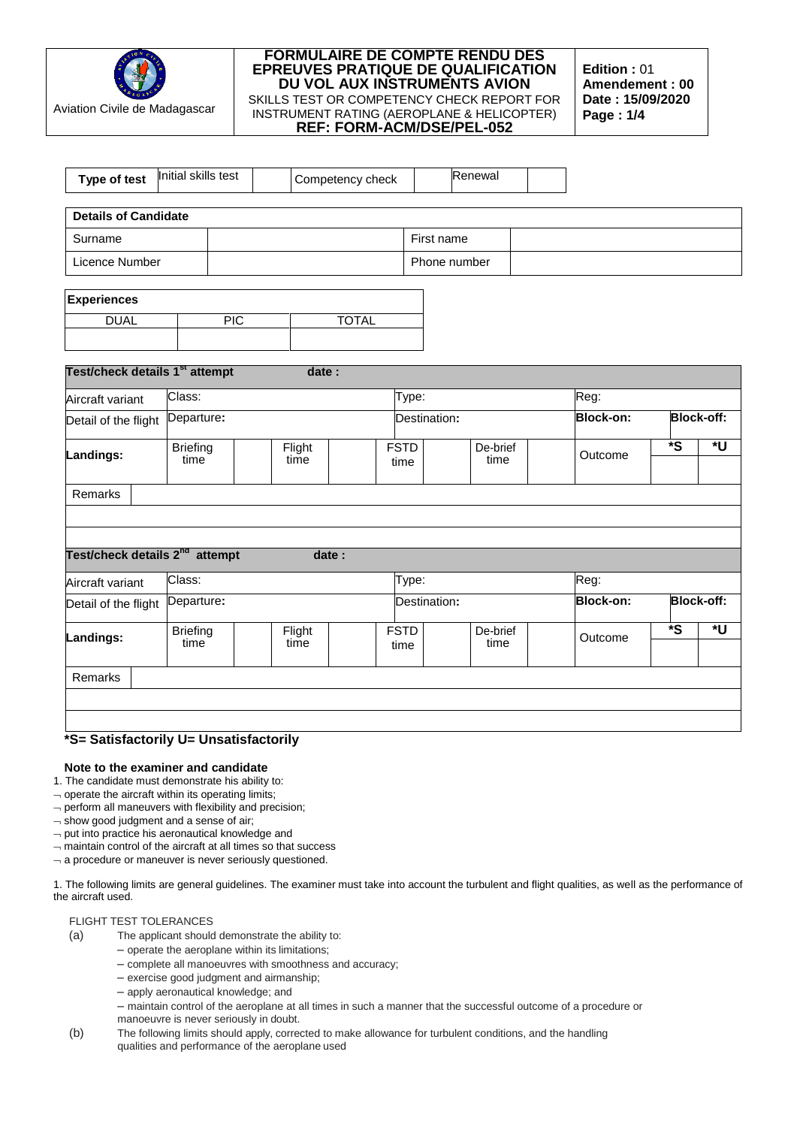

**Edition :** 01 **Amendement : 00 Date : 15/09/2020 Page : 1/4**

| Type of test                               | Initial skills test     |     |                | Competency check |                     |              | Renewal          |  |                  |                   |                   |
|--------------------------------------------|-------------------------|-----|----------------|------------------|---------------------|--------------|------------------|--|------------------|-------------------|-------------------|
| <b>Details of Candidate</b>                |                         |     |                |                  |                     |              |                  |  |                  |                   |                   |
|                                            |                         |     |                |                  |                     |              |                  |  |                  |                   |                   |
| Surname                                    |                         |     |                |                  |                     | First name   |                  |  |                  |                   |                   |
| Licence Number                             |                         |     |                |                  |                     | Phone number |                  |  |                  |                   |                   |
| <b>Experiences</b>                         |                         |     |                |                  |                     |              |                  |  |                  |                   |                   |
| <b>DUAL</b>                                |                         | PIC |                | <b>TOTAL</b>     |                     |              |                  |  |                  |                   |                   |
|                                            |                         |     |                |                  |                     |              |                  |  |                  |                   |                   |
| Test/check details 1 <sup>st</sup> attempt |                         |     | date:          |                  |                     |              |                  |  |                  |                   |                   |
| Aircraft variant                           | Class:                  |     |                |                  | Type:               |              |                  |  | Reg:             |                   |                   |
| Detail of the flight                       | Departure:              |     |                |                  |                     | Destination: |                  |  | <b>Block-on:</b> | <b>Block-off:</b> |                   |
|                                            | <b>Briefing</b>         |     | Flight         |                  | <b>FSTD</b>         |              | De-brief         |  |                  | *S                | *U                |
| Landings:                                  | time                    |     | time           |                  | time                |              | time             |  | Outcome          |                   |                   |
| Remarks                                    |                         |     |                |                  |                     |              |                  |  |                  |                   |                   |
|                                            |                         |     |                |                  |                     |              |                  |  |                  |                   |                   |
| Test/check details 2 <sup>nd</sup> attempt |                         |     |                |                  |                     |              |                  |  |                  |                   |                   |
|                                            |                         |     | date:          |                  |                     |              |                  |  |                  |                   |                   |
| Aircraft variant                           | Class:                  |     |                |                  | Type:               |              |                  |  | Reg:             |                   |                   |
| Detail of the flight                       | Departure:              |     |                |                  |                     | Destination: |                  |  | <b>Block-on:</b> |                   | <b>Block-off:</b> |
| Landings:                                  | <b>Briefing</b><br>time |     | Flight<br>time |                  | <b>FSTD</b><br>time |              | De-brief<br>time |  | Outcome          | *S                | *U                |
|                                            |                         |     |                |                  |                     |              |                  |  |                  |                   |                   |
| Remarks                                    |                         |     |                |                  |                     |              |                  |  |                  |                   |                   |
|                                            |                         |     |                |                  |                     |              |                  |  |                  |                   |                   |
|                                            |                         |     |                |                  |                     |              |                  |  |                  |                   |                   |
| *S= Satisfactorily U= Unsatisfactorily     |                         |     |                |                  |                     |              |                  |  |                  |                   |                   |

#### **Note to the examiner and candidate**

1. The candidate must demonstrate his ability to:

 $\lnot$  operate the aircraft within its operating limits;

 $\neg$  perform all maneuvers with flexibility and precision;

 $-$  show good judgment and a sense of air;

 $\neg$  put into practice his aeronautical knowledge and

 $-$  maintain control of the aircraft at all times so that success

 $\lnot$  a procedure or maneuver is never seriously questioned.

1. The following limits are general guidelines. The examiner must take into account the turbulent and flight qualities, as well as the performance of the aircraft used.

# FLIGHT TEST TOLERANCES

(a) The applicant should demonstrate the ability to:

- operate the aeroplane within its limitations;
	- complete all manoeuvres with smoothness and accuracy;
	- exercise good judgment and airmanship;
	- apply aeronautical knowledge; and

– maintain control of the aeroplane at all times in such a manner that the successful outcome of a procedure or manoeuvre is never seriously in doubt.

(b) The following limits should apply, corrected to make allowance for turbulent conditions, and the handling qualities and performance of the aeroplane used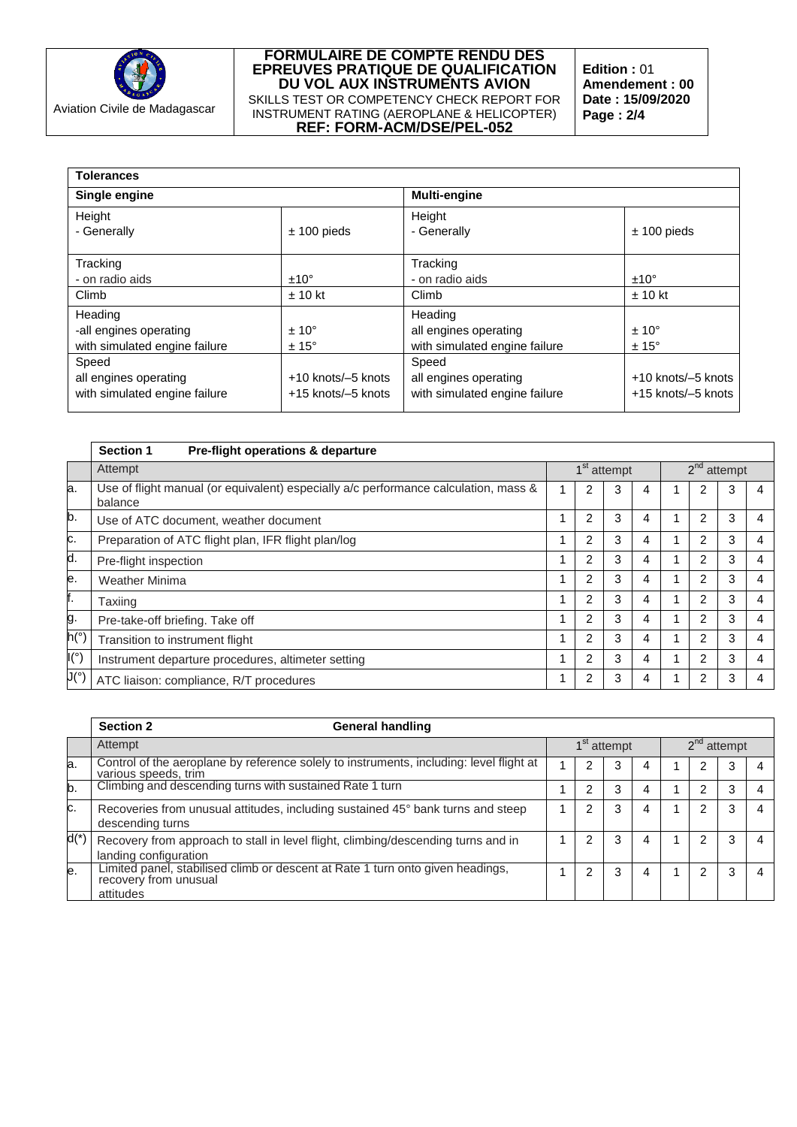

**Edition :** 01 **Amendement : 00 Date : 15/09/2020 Page : 2/4**

| <b>Tolerances</b>                                                  |                                                    |                                                                   |                                                    |  |  |  |  |  |  |  |
|--------------------------------------------------------------------|----------------------------------------------------|-------------------------------------------------------------------|----------------------------------------------------|--|--|--|--|--|--|--|
| Single engine                                                      |                                                    | <b>Multi-engine</b>                                               |                                                    |  |  |  |  |  |  |  |
| Height<br>- Generally                                              | $± 100$ pieds                                      | Height<br>- Generally                                             | $± 100$ pieds                                      |  |  |  |  |  |  |  |
| Tracking<br>- on radio aids<br>Climb                               | $±10^{\circ}$<br>$± 10$ kt                         | Tracking<br>- on radio aids<br>Climb                              | $±10^{\circ}$<br>$± 10$ kt                         |  |  |  |  |  |  |  |
| Heading<br>-all engines operating<br>with simulated engine failure | $± 10^{\circ}$<br>$± 15^{\circ}$                   | Heading<br>all engines operating<br>with simulated engine failure | $± 10^{\circ}$<br>$± 15^{\circ}$                   |  |  |  |  |  |  |  |
| Speed<br>all engines operating<br>with simulated engine failure    | $+10$ knots/ $-5$ knots<br>$+15$ knots/ $-5$ knots | Speed<br>all engines operating<br>with simulated engine failure   | $+10$ knots/ $-5$ knots<br>$+15$ knots/ $-5$ knots |  |  |  |  |  |  |  |

|                        | <b>Section 1</b><br>Pre-flight operations & departure                                          |  |                |                         |   |               |                |   |   |  |
|------------------------|------------------------------------------------------------------------------------------------|--|----------------|-------------------------|---|---------------|----------------|---|---|--|
|                        | Attempt                                                                                        |  |                | 1 <sup>st</sup> attempt |   | $2nd$ attempt |                |   |   |  |
| la.                    | Use of flight manual (or equivalent) especially a/c performance calculation, mass &<br>balance |  | 2              | 3                       | 4 |               | 2              | 3 | 4 |  |
| b.                     | Use of ATC document, weather document                                                          |  | 2              | 3                       | 4 |               | 2              | 3 |   |  |
| c.                     | Preparation of ATC flight plan, IFR flight plan/log                                            |  | 2              | 3                       | 4 |               | 2              | 3 |   |  |
| d.                     | Pre-flight inspection                                                                          |  |                | 3                       | 4 |               | $\overline{2}$ | 3 | 4 |  |
| e.                     | <b>Weather Minima</b>                                                                          |  | 2              | 3                       | 4 |               | $\overline{2}$ | 3 |   |  |
| f.                     | Taxiing                                                                                        |  | 2              | 3                       | 4 |               | 2              | 3 |   |  |
| g.                     | Pre-take-off briefing. Take off                                                                |  | 2              | 3                       | 4 |               | 2              | 3 |   |  |
| h(°)                   | Transition to instrument flight                                                                |  | 2              | 3                       | 4 |               | $\overline{2}$ | 3 | 4 |  |
| $\mathsf{I}({}^\circ)$ | Instrument departure procedures, altimeter setting                                             |  | $\mathfrak{p}$ | 3                       | 4 |               | $\mathfrak{p}$ | 3 | 4 |  |
| J(°)                   | ATC liaison: compliance, R/T procedures                                                        |  | 2              | 3                       | 4 |               | 2              | 3 |   |  |

|        | <b>Section 2</b><br><b>General handling</b>                                                                          |                         |   |   |  |               |   |  |  |
|--------|----------------------------------------------------------------------------------------------------------------------|-------------------------|---|---|--|---------------|---|--|--|
|        | Attempt                                                                                                              | 1 <sup>st</sup> attempt |   |   |  | $2nd$ attempt |   |  |  |
| a.     | Control of the aeroplane by reference solely to instruments, including: level flight at<br>various speeds, trim      |                         | 3 |   |  |               | 3 |  |  |
| b.     | Climbing and descending turns with sustained Rate 1 turn                                                             | 2                       | 3 |   |  | າ             | 3 |  |  |
| C.     | Recoveries from unusual attitudes, including sustained 45° bank turns and steep<br>descending turns                  | າ                       | 3 |   |  | 2             | 3 |  |  |
| $d(*)$ | Recovery from approach to stall in level flight, climbing/descending turns and in<br>landing configuration           | 2                       | 3 | 4 |  | 2             | 3 |  |  |
| le.    | Limited panel, stabilised climb or descent at Rate 1 turn onto given headings,<br>recovery from unusual<br>attitudes |                         | 3 | 4 |  | 2             | 3 |  |  |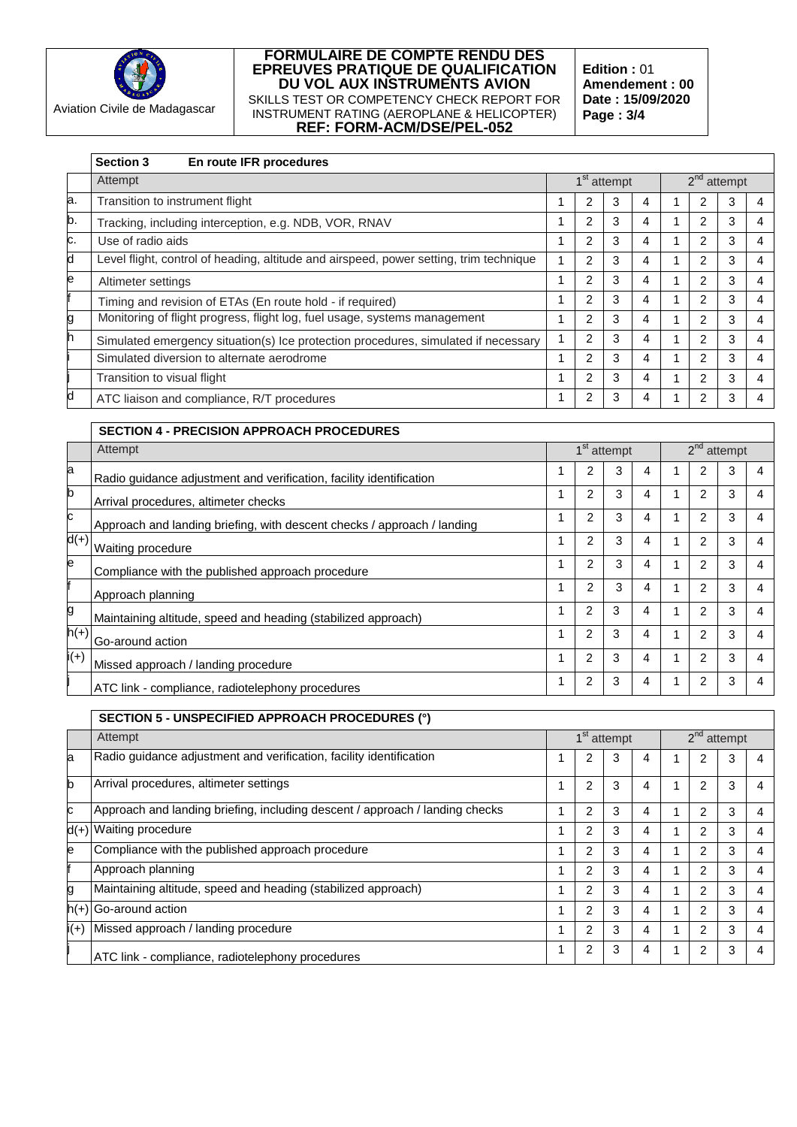

**Edition :** 01 **Amendement : 00 Date : 15/09/2020 Page : 3/4**

|    | En route IFR procedures<br><b>Section 3</b>                                            |   |                         |   |               |                |               |   |
|----|----------------------------------------------------------------------------------------|---|-------------------------|---|---------------|----------------|---------------|---|
|    | Attempt                                                                                |   | 1 <sup>st</sup> attempt |   | $2nd$ attempt |                |               |   |
| a. | Transition to instrument flight                                                        | 2 | 3                       | 4 |               | 2              | 3             | 4 |
| b. | Tracking, including interception, e.g. NDB, VOR, RNAV                                  | 2 | 3                       | 4 |               | 2              | 3             | 4 |
| c. | Use of radio aids                                                                      | 2 | 3                       | 4 |               | 2              | 3             | 4 |
| d  | Level flight, control of heading, altitude and airspeed, power setting, trim technique | 2 | 3                       | 4 |               | $\overline{c}$ | 3             | 4 |
| e  | Altimeter settings                                                                     | 2 | 3                       | 4 |               | 2              | 3             | 4 |
|    | Timing and revision of ETAs (En route hold - if required)                              | 2 | 3                       | 4 |               | $\overline{2}$ | 3             | 4 |
| g  | Monitoring of flight progress, flight log, fuel usage, systems management              | 2 | 3                       | 4 | 1             | 2              | 3             | 4 |
| h  | Simulated emergency situation(s) Ice protection procedures, simulated if necessary     | 2 | 3                       | 4 | 1             | $\overline{2}$ | 3             | 4 |
|    | Simulated diversion to alternate aerodrome                                             | 2 | 3                       | 4 |               | 2              | 3             | 4 |
|    | Transition to visual flight                                                            | 2 | 3                       | 4 |               | 2              | 3             | 4 |
| d  | ATC liaison and compliance, R/T procedures                                             | 2 | 3                       | 4 |               | 2              | 3             | 4 |
|    |                                                                                        |   |                         |   |               |                |               |   |
|    | <b>SECTION 4 - PRECISION APPROACH PROCEDURES</b>                                       |   |                         |   |               |                |               |   |
|    | Attempt                                                                                |   | 1 <sup>st</sup> attempt |   |               |                | $2nd$ attempt |   |

|        | Attempt                                                                 |   |                | 1 <sup>st</sup> attempt |   |  |   | $2nd$ attempt |   |  |  |  |
|--------|-------------------------------------------------------------------------|---|----------------|-------------------------|---|--|---|---------------|---|--|--|--|
| a      | Radio quidance adjustment and verification, facility identification     |   | 2              | 3                       | 4 |  |   | 3             |   |  |  |  |
| b      | Arrival procedures, altimeter checks                                    |   | 2              | 3                       | 4 |  | 2 | 3             |   |  |  |  |
| c      | Approach and landing briefing, with descent checks / approach / landing |   | 2              | 3                       | 4 |  | 2 | 3             | 4 |  |  |  |
| $d(+)$ | Waiting procedure                                                       |   | $\mathfrak{p}$ | 3                       | 4 |  | 2 | 3             | 4 |  |  |  |
| e      | Compliance with the published approach procedure                        |   | 2              | 3                       | 4 |  | 2 | 3             |   |  |  |  |
|        | Approach planning                                                       |   | 2              | 3                       | 4 |  | 2 | 3             |   |  |  |  |
| g      | Maintaining altitude, speed and heading (stabilized approach)           |   | 2              | 3                       | 4 |  | 2 | 3             |   |  |  |  |
| $h(+)$ | Go-around action                                                        | 1 | 2              | 3                       | 4 |  | 2 | 3             | 4 |  |  |  |
| $i(+)$ | Missed approach / landing procedure                                     |   | $\overline{2}$ | 3                       | 4 |  | 2 | 3             |   |  |  |  |
|        | ATC link - compliance, radiotelephony procedures                        | 1 | 2              | 3                       | 4 |  | 2 | 3             |   |  |  |  |

|        | SECTION 5 - UNSPECIFIED APPROACH PROCEDURES (°)                              |  |                |                         |   |               |                |   |   |  |  |
|--------|------------------------------------------------------------------------------|--|----------------|-------------------------|---|---------------|----------------|---|---|--|--|
|        | Attempt                                                                      |  |                | 1 <sup>st</sup> attempt |   | $2nd$ attempt |                |   |   |  |  |
| a      | Radio guidance adjustment and verification, facility identification          |  |                | 3                       | 4 |               |                | 3 |   |  |  |
| D      | Arrival procedures, altimeter settings                                       |  | 2              | 3                       | 4 |               | 2              | 3 |   |  |  |
| c.     | Approach and landing briefing, including descent / approach / landing checks |  | 2              | 3                       | 4 |               | $\overline{2}$ | 3 | 4 |  |  |
|        | $d(+)$ Waiting procedure                                                     |  | 2              | 3                       | 4 |               | 2              | 3 |   |  |  |
| е      | Compliance with the published approach procedure                             |  | 2              | 3                       | 4 |               | 2              | 3 |   |  |  |
|        | Approach planning                                                            |  | $\overline{2}$ | 3                       | 4 |               | 2              | 3 |   |  |  |
| g      | Maintaining altitude, speed and heading (stabilized approach)                |  | $\overline{2}$ | 3                       | 4 |               | 2              | 3 |   |  |  |
|        | $h(+)$ Go-around action                                                      |  | 2              | 3                       | 4 |               | 2              | 3 | 4 |  |  |
| $i(+)$ | Missed approach / landing procedure                                          |  | 2              | 3                       | 4 |               | 2              | 3 |   |  |  |
|        | ATC link - compliance, radiotelephony procedures                             |  | 2              | 3                       |   |               | 2              | 3 |   |  |  |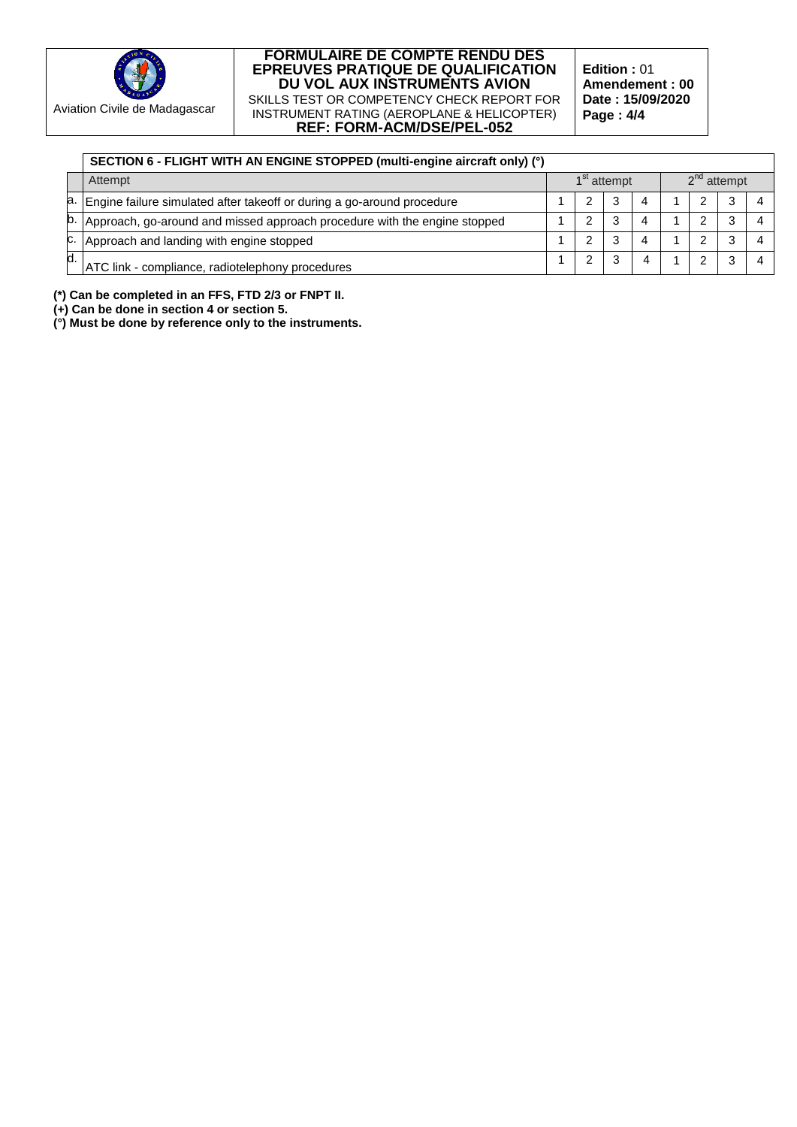

**Edition :** 01 **Amendement : 00 Date : 15/09/2020 Page : 4/4**

|    | SECTION 6 - FLIGHT WITH AN ENGINE STOPPED (multi-engine aircraft only) (°) |                                          |   |   |   |  |  |   |  |  |
|----|----------------------------------------------------------------------------|------------------------------------------|---|---|---|--|--|---|--|--|
|    | Attempt                                                                    | $2nd$ attempt<br>1 <sup>st</sup> attempt |   |   |   |  |  |   |  |  |
|    | a. Engine failure simulated after takeoff or during a go-around procedure  |                                          |   | 3 | 4 |  |  |   |  |  |
|    | Approach, go-around and missed approach procedure with the engine stopped  |                                          |   | ົ |   |  |  |   |  |  |
| с. | Approach and landing with engine stopped                                   |                                          | ົ | ົ |   |  |  | ົ |  |  |
|    | ATC link - compliance, radiotelephony procedures                           |                                          |   |   |   |  |  |   |  |  |

**(\*) Can be completed in an FFS, FTD 2/3 or FNPT II.**

**(+) Can be done in section 4 or section 5.**

**(°) Must be done by reference only to the instruments.**